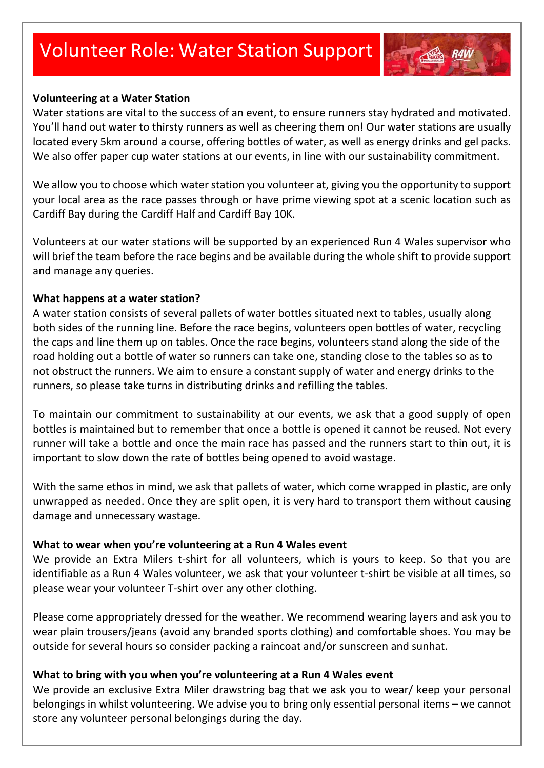# Volunteer Role: Water Station Support



Water stations are vital to the success of an event, to ensure runners stay hydrated and motivated. You'll hand out water to thirsty runners as well as cheering them on! Our water stations are usually located every 5km around a course, offering bottles of water, as well as energy drinks and gel packs. We also offer paper cup water stations at our events, in line with our sustainability commitment.

We allow you to choose which water station you volunteer at, giving you the opportunity to support your local area as the race passes through or have prime viewing spot at a scenic location such as Cardiff Bay during the Cardiff Half and Cardiff Bay 10K.

Volunteers at our water stations will be supported by an experienced Run 4 Wales supervisor who will brief the team before the race begins and be available during the whole shift to provide support and manage any queries.

#### **What happens at a water station?**

A water station consists of several pallets of water bottles situated next to tables, usually along both sides of the running line. Before the race begins, volunteers open bottles of water, recycling the caps and line them up on tables. Once the race begins, volunteers stand along the side of the road holding out a bottle of water so runners can take one, standing close to the tables so as to not obstruct the runners. We aim to ensure a constant supply of water and energy drinks to the runners, so please take turns in distributing drinks and refilling the tables.

To maintain our commitment to sustainability at our events, we ask that a good supply of open bottles is maintained but to remember that once a bottle is opened it cannot be reused. Not every runner will take a bottle and once the main race has passed and the runners start to thin out, it is important to slow down the rate of bottles being opened to avoid wastage.

With the same ethos in mind, we ask that pallets of water, which come wrapped in plastic, are only unwrapped as needed. Once they are split open, it is very hard to transport them without causing damage and unnecessary wastage.

#### **What to wear when you're volunteering at a Run 4 Wales event**

We provide an Extra Milers t-shirt for all volunteers, which is yours to keep. So that you are identifiable as a Run 4 Wales volunteer, we ask that your volunteer t-shirt be visible at all times, so please wear your volunteer T-shirt over any other clothing.

Please come appropriately dressed for the weather. We recommend wearing layers and ask you to wear plain trousers/jeans (avoid any branded sports clothing) and comfortable shoes. You may be outside for several hours so consider packing a raincoat and/or sunscreen and sunhat.

#### **What to bring with you when you're volunteering at a Run 4 Wales event**

We provide an exclusive Extra Miler drawstring bag that we ask you to wear/ keep your personal belongings in whilst volunteering. We advise you to bring only essential personal items – we cannot store any volunteer personal belongings during the day.